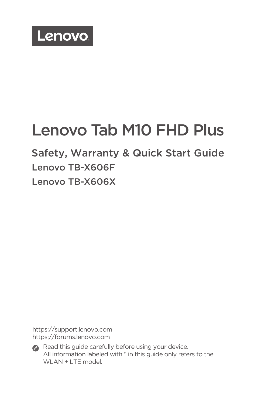

# Lenovo Tab M10 FHD Plus

Safety, Warranty & Quick Start Guide Lenovo TB-X606F Lenovo TB-X606X

https://support.lenovo.com https://forums.lenovo.com



Read this guide carefully before using your device. All information labeled with \* in this guide only refers to the WLAN + LTE model.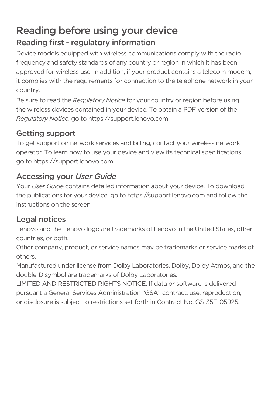### Reading before using your device Reading first - regulatory information

Device models equipped with wireless communications comply with the radio frequency and safety standards of any country or region in which it has been approved for wireless use. In addition, if your product contains a telecom modem, it complies with the requirements for connection to the telephone network in your country.

Be sure to read the *Regulatory Notice* for your country or region before using the wireless devices contained in your device. To obtain a PDF version of the *Regulatory Notice*, go to https://support.lenovo.com.

#### Getting support

To get support on network services and billing, contact your wireless network operator. To learn how to use your device and view its technical specifications, go to https://support.lenovo.com.

#### Accessing your *User Guide*

Your *User Guide* contains detailed information about your device. To download the publications for your device, go to https://support.lenovo.com and follow the instructions on the screen.

#### Legal notices

Lenovo and the Lenovo logo are trademarks of Lenovo in the United States, other countries, or both.

Other company, product, or service names may be trademarks or service marks of others.

Manufactured under license from Dolby Laboratories. Dolby, Dolby Atmos, and the double-D symbol are trademarks of Dolby Laboratories.

LIMITED AND RESTRICTED RIGHTS NOTICE: If data or software is delivered pursuant a General Services Administration "GSA" contract, use, reproduction, or disclosure is subject to restrictions set forth in Contract No. GS-35F-05925.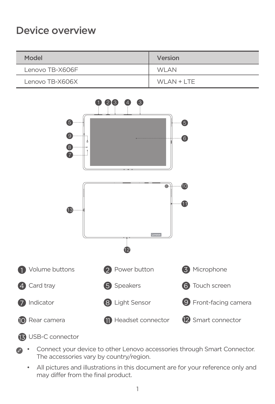### Device overview

| Model           | Version      |
|-----------------|--------------|
| Lenovo TB-X606F | <b>WLAN</b>  |
| Lenovo TB-X606X | $WLAN + LTE$ |



#### USB-C connector

- Connect your device to other Lenovo accessories through Smart Connector. The accessories vary by country/region.
	- All pictures and illustrations in this document are for your reference only and may differ from the final product.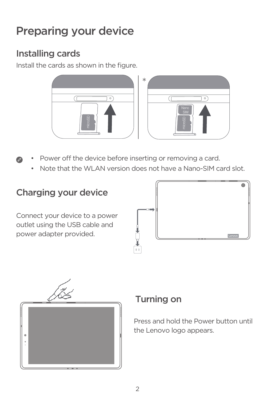## Preparing your device

### Installing cards

Install the cards as shown in the figure.





- Power off the device before inserting or removing a card.
	- Note that the WLAN version does not have a Nano-SIM card slot.

### Charging your device

Connect your device to a power outlet using the USB cable and power adapter provided.





### Turning on

Press and hold the Power button until the Lenovo logo appears.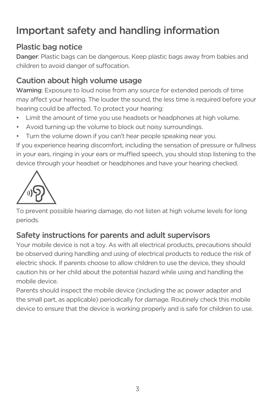## Important safety and handling information

#### Plastic bag notice

Danger: Plastic bags can be dangerous. Keep plastic bags away from babies and children to avoid danger of suffocation.

#### Caution about high volume usage

Warning: Exposure to loud noise from any source for extended periods of time may affect your hearing. The louder the sound, the less time is required before your hearing could be affected. To protect your hearing:

- Limit the amount of time you use headsets or headphones at high volume.
- Avoid turning up the volume to block out noisy surroundings.
- Turn the volume down if you can't hear people speaking near you.

If you experience hearing discomfort, including the sensation of pressure or fullness in your ears, ringing in your ears or muffled speech, you should stop listening to the device through your headset or headphones and have your hearing checked.



To prevent possible hearing damage, do not listen at high volume levels for long periods.

#### Safety instructions for parents and adult supervisors

Your mobile device is not a toy. As with all electrical products, precautions should be observed during handling and using of electrical products to reduce the risk of electric shock. If parents choose to allow children to use the device, they should caution his or her child about the potential hazard while using and handling the mobile device.

Parents should inspect the mobile device (including the ac power adapter and the small part, as applicable) periodically for damage. Routinely check this mobile device to ensure that the device is working properly and is safe for children to use.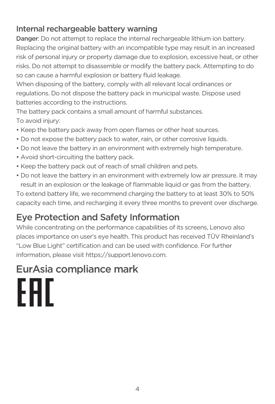#### Internal rechargeable battery warning

Danger: Do not attempt to replace the internal rechargeable lithium ion battery. Replacing the original battery with an incompatible type may result in an increased risk of personal injury or property damage due to explosion, excessive heat, or other risks. Do not attempt to disassemble or modify the battery pack. Attempting to do so can cause a harmful explosion or battery fluid leakage.

When disposing of the battery, comply with all relevant local ordinances or regulations. Do not dispose the battery pack in municipal waste. Dispose used batteries according to the instructions.

The battery pack contains a small amount of harmful substances. To avoid injury:

- Keep the battery pack away from open flames or other heat sources.
- Do not expose the battery pack to water, rain, or other corrosive liquids.
- Do not leave the battery in an environment with extremely high temperature.
- Avoid short-circuiting the battery pack.
- Keep the battery pack out of reach of small children and pets.
- Do not leave the battery in an environment with extremely low air pressure. It may result in an explosion or the leakage of flammable liquid or gas from the battery.

To extend battery life, we recommend charging the battery to at least 30% to 50% capacity each time, and recharging it every three months to prevent over discharge.

### Eye Protection and Safety Information

While concentrating on the performance capabilities of its screens, Lenovo also places importance on user's eye health. This product has received TÜV Rheinland's "Low Blue Light" certification and can be used with confidence. For further information, please visit https://support.lenovo.com.

## EurAsia compliance mark

FAT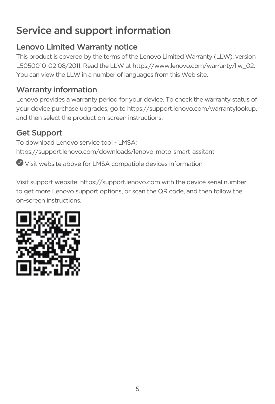## Service and support information

### Lenovo Limited Warranty notice

This product is covered by the terms of the Lenovo Limited Warranty (LLW), version L5050010-02 08/2011. Read the LLW at https://www.lenovo.com/warranty/llw\_02. You can view the LLW in a number of languages from this Web site.

### Warranty information

Lenovo provides a warranty period for your device. To check the warranty status of your device purchase upgrades, go to https://support.lenovo.com/warrantylookup, and then select the product on-screen instructions.

#### Get Support

To download Lenovo service tool - LMSA: https://support.lenovo.com/downloads/lenovo-moto-smart-assitant

Visit website above for LMSA compatible devices information

Visit support website: https://support.lenovo.com with the device serial number to get more Lenovo support options, or scan the QR code, and then follow the on-screen instructions.

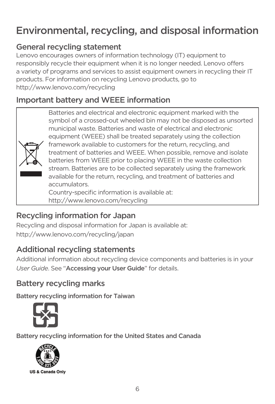## Environmental, recycling, and disposal information

### General recycling statement

Lenovo encourages owners of information technology (IT) equipment to responsibly recycle their equipment when it is no longer needed. Lenovo offers a variety of programs and services to assist equipment owners in recycling their IT products. For information on recycling Lenovo products, go to http://www.lenovo.com/recycling

### Important battery and WEEE information

Batteries and electrical and electronic equipment marked with the symbol of a crossed-out wheeled bin may not be disposed as unsorted municipal waste. Batteries and waste of electrical and electronic equipment (WEEE) shall be treated separately using the collection framework available to customers for the return, recycling, and treatment of batteries and WEEE. When possible, remove and isolate batteries from WEEE prior to placing WEEE in the waste collection stream. Batteries are to be collected separately using the framework available for the return, recycling, and treatment of batteries and accumulators. Country-specific information is available at: http://www.lenovo.com/recycling

### Recycling information for Japan

Recycling and disposal information for Japan is available at: http://www.lenovo.com/recycling/japan

### Additional recycling statements

Additional information about recycling device components and batteries is in your *User Guide*. See "Accessing your User Guide" for details.

#### Battery recycling marks

Battery recycling information for Taiwan



Battery recycling information for the United States and Canada

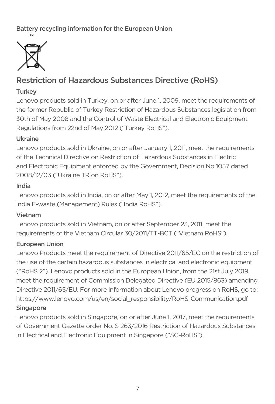Battery recycling information for the European Union



#### Restriction of Hazardous Substances Directive (RoHS)

#### Turkey

Lenovo products sold in Turkey, on or after June 1, 2009, meet the requirements of the former Republic of Turkey Restriction of Hazardous Substances legislation from 30th of May 2008 and the Control of Waste Electrical and Electronic Equipment Regulations from 22nd of May 2012 ("Turkey RoHS").

#### Ukraine

Lenovo products sold in Ukraine, on or after January 1, 2011, meet the requirements of the Technical Directive on Restriction of Hazardous Substances in Electric and Electronic Equipment enforced by the Government, Decision No 1057 dated 2008/12/03 ("Ukraine TR on RoHS").

#### India

Lenovo products sold in India, on or after May 1, 2012, meet the requirements of the India E-waste (Management) Rules ("India RoHS").

#### Vietnam

Lenovo products sold in Vietnam, on or after September 23, 2011, meet the requirements of the Vietnam Circular 30/2011/TT-BCT ("Vietnam RoHS").

#### European Union

Lenovo Products meet the requirement of Directive 2011/65/EC on the restriction of the use of the certain hazardous substances in electrical and electronic equipment ("RoHS 2"). Lenovo products sold in the European Union, from the 21st July 2019, meet the requirement of Commission Delegated Directive (EU 2015/863) amending Directive 2011/65/EU. For more information about Lenovo progress on RoHS, go to: https://www.lenovo.com/us/en/social\_responsibility/RoHS-Communication.pdf Singapore

Lenovo products sold in Singapore, on or after June 1, 2017, meet the requirements of Government Gazette order No. S 263/2016 Restriction of Hazardous Substances in Electrical and Electronic Equipment in Singapore ("SG-RoHS").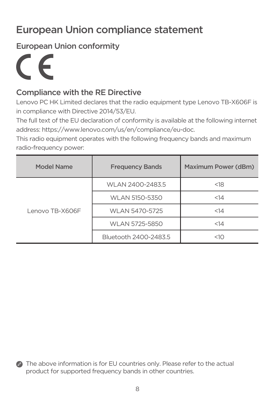## European Union compliance statement

European Union conformity

 $\epsilon$ 

#### Compliance with the RE Directive

Lenovo PC HK Limited declares that the radio equipment type Lenovo TB-X606F is in compliance with Directive 2014/53/EU.

The full text of the EU declaration of conformity is available at the following internet address: https://www.lenovo.com/us/en/compliance/eu-doc.

This radio equipment operates with the following frequency bands and maximum radio-frequency power:

| Model Name      | <b>Frequency Bands</b> | Maximum Power (dBm) |
|-----------------|------------------------|---------------------|
| Lenovo TB-X606F | WLAN 2400-2483.5       | < 18                |
|                 | WLAN 5150-5350         | <14                 |
|                 | WLAN 5470-5725         | <14                 |
|                 | WLAN 5725-5850         | <14                 |
|                 | Bluetooth 2400-2483.5  | $<$ 10              |

**•** The above information is for EU countries only. Please refer to the actual product for supported frequency bands in other countries.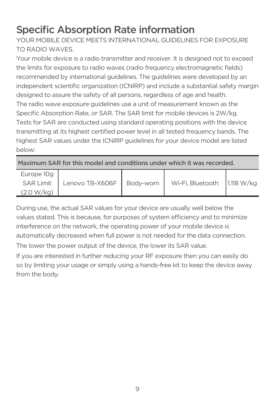## Specific Absorption Rate information

YOUR MOBILE DEVICE MEETS INTERNATIONAL GUIDELINES FOR EXPOSURE TO RADIO WAVES.

Your mobile device is a radio transmitter and receiver. It is designed not to exceed the limits for exposure to radio waves (radio frequency electromagnetic fields) recommended by international guidelines. The guidelines were developed by an independent scientific organization (ICNIRP) and include a substantial safety margin designed to assure the safety of all persons, regardless of age and health. The radio wave exposure guidelines use a unit of measurement known as the Specific Absorption Rate, or SAR. The SAR limit for mobile devices is 2W/kg. Tests for SAR are conducted using standard operating positions with the device transmitting at its highest certified power level in all tested frequency bands. The highest SAR values under the ICNIRP guidelines for your device model are listed below:

Maximum SAR for this model and conditions under which it was recorded.

| Europe 10g       |                             |                               |  |
|------------------|-----------------------------|-------------------------------|--|
| <b>SAR Limit</b> | Lenovo TB-X606F   Body-worn | Wi-Fi, Bluetooth   1.118 W/kg |  |
| (2.0 W/kg)       |                             |                               |  |

During use, the actual SAR values for your device are usually well below the values stated. This is because, for purposes of system efficiency and to minimize interference on the network, the operating power of your mobile device is automatically decreased when full power is not needed for the data connection.

The lower the power output of the device, the lower its SAR value.

If you are interested in further reducing your RF exposure then you can easily do so by limiting your usage or simply using a hands-free kit to keep the device away from the body.